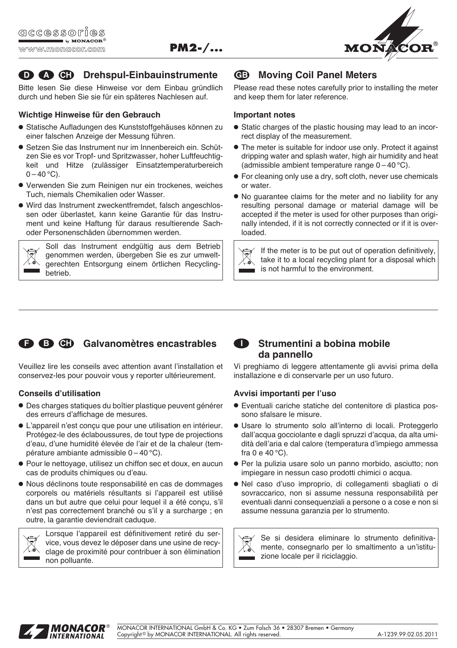

# **Drehspul-Einbauinstrumente D A CH GB**

**PM2-/...**

Bitte lesen Sie diese Hinweise vor dem Einbau gründlich durch und heben Sie sie für ein späteres Nachlesen auf.

#### **Wichtige Hinweise für den Gebrauch**

- Statische Aufladungen des Kunststoffgehäuses können zu einer falschen Anzeige der Messung führen.
- Setzen Sie das Instrument nur im Innenbereich ein. Schützen Sie es vor Tropf- und Spritzwasser, hoher Luftfeuchtigkeit und Hitze (zulässiger Einsatztemperaturbereich  $0 - 40$  °C).
- Verwenden Sie zum Reinigen nur ein trockenes, weiches Tuch, niemals Chemikalien oder Wasser.
- Wird das Instrument zweckentfremdet, falsch angeschlossen oder überlastet, kann keine Garantie für das Instrument und keine Haftung für daraus resultierende Sachoder Personenschäden übernommen werden.



Soll das Instrument endgültig aus dem Betrieb genommen werden, übergeben Sie es zur umweltgerechten Entsorgung einem örtlichen Recycling betrieb.

# **Moving Coil Panel Meters**

Please read these notes carefully prior to installing the meter and keep them for later reference.

#### **Important notes**

- Static charges of the plastic housing may lead to an incorrect display of the measurement.
- The meter is suitable for indoor use only. Protect it against dripping water and splash water, high air humidity and heat (admissible ambient temperature range 0 – 40 °C).
- For cleaning only use a dry, soft cloth, never use chemicals or water.
- No guarantee claims for the meter and no liability for any resulting personal damage or material damage will be accepted if the meter is used for other purposes than originally intended, if it is not correctly connected or if it is overloaded.



If the meter is to be put out of operation definitively, take it to a local recycling plant for a disposal which is not harmful to the environment.



Veuillez lire les conseils avec attention avant l'installation et conservez-les pour pouvoir vous y reporter ultérieurement.

### **Conseils d'utilisation**

- Des charges statiques du boîtier plastique peuvent générer des erreurs d'affichage de mesures.
- L'appareil n'est conçu que pour une utilisation en intérieur. Protégez-le des éclaboussures, de tout type de projections d'eau, d'une humidité élevée de l'air et de la chaleur (température ambiante admissible 0 – 40 °C).
- Pour le nettoyage, utilisez un chiffon sec et doux, en aucun cas de produits chimiques ou d'eau.
- Nous déclinons toute responsabilité en cas de dommages corporels ou matériels résultants si l'appareil est utilisé dans un but autre que celui pour lequel il a été concu, s'il n'est pas correctement branché ou s'il y a surcharge ; en outre, la garantie deviendrait caduque.

Lorsque l'appareil est définitivement retiré du service, vous devez le déposer dans une usine de recyclage de proximité pour contribuer à son élimination non polluante.

# **Strumentini a bobina mobile da pannello**

Vi preghiamo di leggere attentamente gli avvisi prima della installazione e di conservarle per un uso futuro.

### **Avvisi importanti per l'uso**

- Eventuali cariche statiche del contenitore di plastica possono sfalsare le misure.
- Usare lo strumento solo all'interno di locali. Proteggerlo dall'acqua gocciolante e dagli spruzzi d'acqua, da alta umidità dell'aria e dal calore (temperatura d'impiego ammessa fra 0 e 40 °C).
- Per la pulizia usare solo un panno morbido, asciutto; non impiegare in nessun caso prodotti chimici o acqua.
- Nel caso d'uso improprio, di collegamenti sbagliati o di sovraccarico, non si assume nessuna responsabilità per eventuali danni consequenziali a persone o a cose e non si assume nessuna garanzia per lo strumento.



Se si desidera eliminare lo strumento definitivamente, consegnarlo per lo smaltimento a un'istituzione locale per il riciclaggio.



MONACOR INTERNATIONAL GmbH & Co. KG • Zum Falsch 36 • 28307 Bremen • Germany Copyright © by MONACOR INTERNATIONAL. All rights reserved. And the control of the A-1239.99.02.05.2011